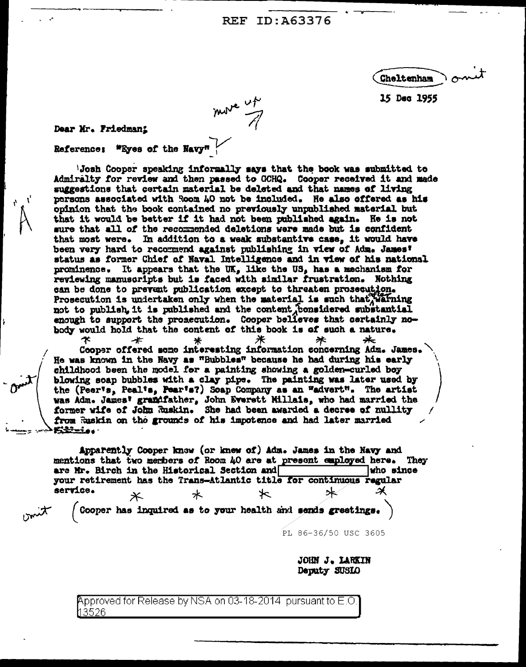REF ID: A63376

Cheltenham

15 Dec 1955

move up

Dear Mr. Friedman!

\*Eyes of the Navy" **Reference:** 

'Josh Cooper speaking informally mays that the book was submitted to Admiralty for review and then passed to GCHQ. Cooper received it and made suggestions that certain material be deleted and that names of living persons associated with Room 40 not be included. He also offered as his opinion that the book contained no previously unpublished material but that it would be better if it had not been published again. He is not sure that all of the recommended deletions were made but is confident that most were. In addition to a weak substantive case, it would have been very hard to recommend against publishing in view of Adm. James' status as former Chief of Naval Intelligence and in view of his national prominence. It appears that the  $\overline{UR}_p$  like the  $\overline{US}_p$  has a mechanism for reviewing manuscripts but is faced with similar frustration. Nothing can be done to prevent publication except to threaten prosecution. Prosecution is undertaken only when the material is such that warning not to publish, it is published and the content fonsidered substantial enough to support the prosecution. Cooper believes that certainly nobody would hold that the content of this book is of such a nature.

́\* -≭ ж ⋇ Cooper offered some interesting information concerning Adm. James. He was known in the Navy as "Bubbles" because he had during his early childhood been the model for a painting showing a golden-curled boy blowing soap bubbles with a clay pipe. The painting was later used by the (Peer's, Peal's, Pear's?) Soap Company as an "advert". The artist was Adm. James' grandfather, John Everett Millais, who had married the former wife of John Ruskin. She had been awarded a decree of nullity from Ruskin on the grounds of his impotence and had later married **Biris** 

Apparently Cooper know (or knew of) Adm. James in the Navy and mentions that two merbers of Room 40 are at present employed here. They are Mr. Birch in the Historical Section and who since your retirement has the Trans-Atlantic title for continuous regular service. ★ 水  $\times$ 

Cooper has inquired as to your health and sends greetings.

PL 86-36/50 USC 3605

**JOHN J. LARKIN** Deputy SUSIO

Approved for Release by NSA on 03-18-2014 pursuant to E.O. l13526